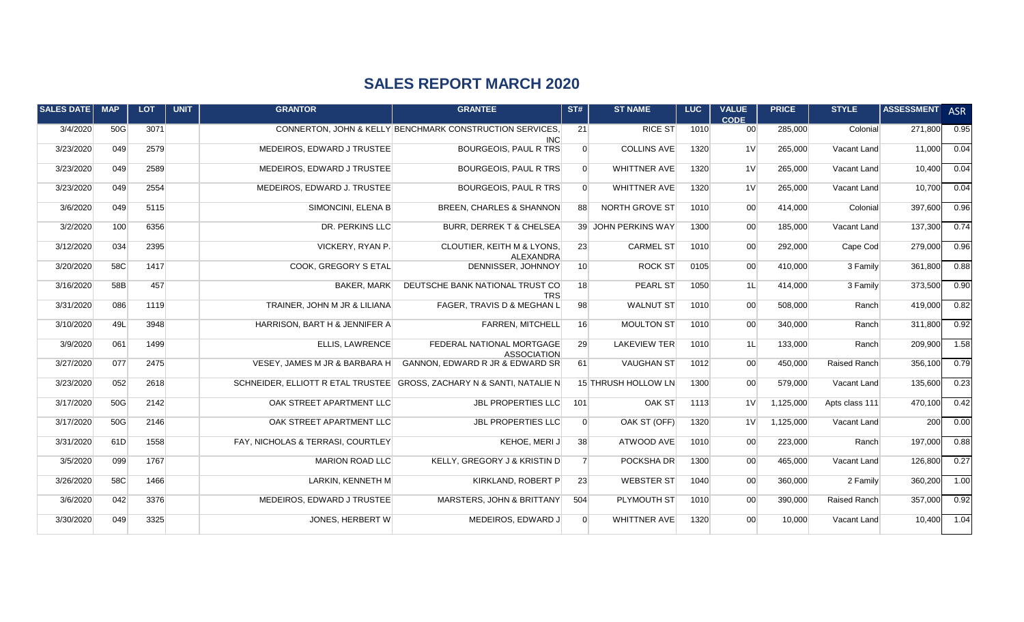## **SALES REPORT MARCH 2020**

| <b>SALES DATE</b> | <b>MAP</b> | <b>LOT</b> | <b>UNIT</b> | <b>GRANTOR</b>                    | <b>GRANTEE</b>                                                         | ST#             | <b>ST NAME</b>      | LUC. | <b>VALUE</b><br><b>CODE</b> | <b>PRICE</b> | <b>STYLE</b>   | <b>ASSESSMENT</b> | <b>ASR</b> |
|-------------------|------------|------------|-------------|-----------------------------------|------------------------------------------------------------------------|-----------------|---------------------|------|-----------------------------|--------------|----------------|-------------------|------------|
| 3/4/2020          | 50G        | 3071       |             |                                   | CONNERTON, JOHN & KELLY BENCHMARK CONSTRUCTION SERVICES,<br><b>INC</b> | 21              | <b>RICE ST</b>      | 1010 | 00 <sup>1</sup>             | 285,000      | Colonial       | 271,800           | 0.95       |
| 3/23/2020         | 049        | 2579       |             | MEDEIROS. EDWARD J TRUSTEE        | BOURGEOIS, PAUL R TRS                                                  | $\Omega$        | <b>COLLINS AVE</b>  | 1320 | 1 <sup>V</sup>              | 265,000      | Vacant Land    | 11,000            | 0.04       |
| 3/23/2020         | 049        | 2589       |             | MEDEIROS, EDWARD J TRUSTEE        | BOURGEOIS, PAUL R TRS                                                  | $\Omega$        | <b>WHITTNER AVE</b> | 1320 | 1 <sup>V</sup>              | 265,000      | Vacant Land    | 10,400            | 0.04       |
| 3/23/2020         | 049        | 2554       |             | MEDEIROS, EDWARD J. TRUSTEE       | <b>BOURGEOIS, PAUL R TRS</b>                                           | $\overline{0}$  | <b>WHITTNER AVE</b> | 1320 | 1 <sup>V</sup>              | 265,000      | Vacant Land    | 10,700            | 0.04       |
| 3/6/2020          | 049        | 5115       |             | SIMONCINI, ELENA B                | <b>BREEN, CHARLES &amp; SHANNON</b>                                    | 88              | NORTH GROVE ST      | 1010 | 00                          | 414,000      | Colonial       | 397,600           | 0.96       |
| 3/2/2020          | 100        | 6356       |             | DR. PERKINS LLC                   | <b>BURR, DERREK T &amp; CHELSEA</b>                                    |                 | 39 JOHN PERKINS WAY | 1300 | 00 <sup>1</sup>             | 185,000      | Vacant Land    | 137,300           | 0.74       |
| 3/12/2020         | 034        | 2395       |             | VICKERY, RYAN P.                  | <b>CLOUTIER, KEITH M &amp; LYONS,</b><br><b>ALEXANDRA</b>              | 23              | <b>CARMEL ST</b>    | 1010 | 00 <sup>1</sup>             | 292,000      | Cape Cod       | 279,000           | 0.96       |
| 3/20/2020         | 58C        | 1417       |             | COOK, GREGORY S ETAL              | DENNISSER, JOHNNOY                                                     | 10 <sup>1</sup> | <b>ROCK ST</b>      | 0105 | 00 <sup>1</sup>             | 410,000      | 3 Family       | 361,800           | 0.88       |
| 3/16/2020         | 58B        | 457        |             | <b>BAKER, MARK</b>                | DEUTSCHE BANK NATIONAL TRUST CO<br><b>TRS</b>                          | 18              | <b>PEARL ST</b>     | 1050 | 1L                          | 414,000      | 3 Family       | 373,500           | 0.90       |
| 3/31/2020         | 086        | 1119       |             | TRAINER, JOHN M JR & LILIANA      | FAGER, TRAVIS D & MEGHAN L                                             | 98              | <b>WALNUT ST</b>    | 1010 | 00 <sup>1</sup>             | 508,000      | Ranch          | 419,000           | 0.82       |
| 3/10/2020         | 49L        | 3948       |             | HARRISON, BART H & JENNIFER A     | <b>FARREN, MITCHELL</b>                                                | 16              | MOULTON ST          | 1010 | 00 <sup>1</sup>             | 340,000      | Ranch          | 311,800           | 0.92       |
| 3/9/2020          | 061        | 1499       |             | ELLIS, LAWRENCE                   | FEDERAL NATIONAL MORTGAGE<br><b>ASSOCIATION</b>                        | 29              | <b>LAKEVIEW TER</b> | 1010 | 1L                          | 133,000      | Ranch          | 209,900           | 1.58       |
| 3/27/2020         | 077        | 2475       |             | VESEY, JAMES M JR & BARBARA H     | GANNON, EDWARD R JR & EDWARD SR                                        | 61              | <b>VAUGHAN ST</b>   | 1012 | 00 <sup>1</sup>             | 450,000      | Raised Ranch   | 356,100           | 0.79       |
| 3/23/2020         | 052        | 2618       |             |                                   | SCHNEIDER, ELLIOTT R ETAL TRUSTEE GROSS, ZACHARY N & SANTI, NATALIE N  |                 | 15 THRUSH HOLLOW LN | 1300 | 00 <sup>1</sup>             | 579,000      | Vacant Land    | 135,600           | 0.23       |
| 3/17/2020         | 50G        | 2142       |             | OAK STREET APARTMENT LLC          | <b>JBL PROPERTIES LLC</b>                                              | 101             | OAK ST              | 1113 | 1V                          | 1,125,000    | Apts class 111 | 470,100           | 0.42       |
| 3/17/2020         | 50G        | 2146       |             | OAK STREET APARTMENT LLC          | <b>JBL PROPERTIES LLC</b>                                              | $\Omega$        | OAK ST (OFF)        | 1320 | 1V                          | 1,125,000    | Vacant Land    | 200               | 0.00       |
| 3/31/2020         | 61D        | 1558       |             | FAY, NICHOLAS & TERRASI, COURTLEY | KEHOE, MERIJ                                                           | 38              | ATWOOD AVE          | 1010 | 00 <sup>1</sup>             | 223,000      | Ranch          | 197,000           | 0.88       |
| 3/5/2020          | 099        | 1767       |             | MARION ROAD LLC                   | KELLY, GREGORY J & KRISTIN D                                           | $\overline{7}$  | POCKSHA DR          | 1300 | 00                          | 465,000      | Vacant Land    | 126,800           | 0.27       |
| 3/26/2020         | 58C        | 1466       |             | LARKIN, KENNETH M                 | KIRKLAND, ROBERT P                                                     | 23              | <b>WEBSTER ST</b>   | 1040 | 00                          | 360,000      | 2 Family       | 360,200           | 1.00       |
| 3/6/2020          | 042        | 3376       |             | MEDEIROS, EDWARD J TRUSTEE        | MARSTERS, JOHN & BRITTANY                                              | 504             | PLYMOUTH ST         | 1010 | 00 <sup>1</sup>             | 390,000      | Raised Ranch   | 357,000           | 0.92       |
| 3/30/2020         | 049        | 3325       |             | JONES, HERBERT W                  | MEDEIROS, EDWARD J                                                     | $\Omega$        | <b>WHITTNER AVE</b> | 1320 | 00 <sup>1</sup>             | 10,000       | Vacant Land    | 10,400            | 1.04       |